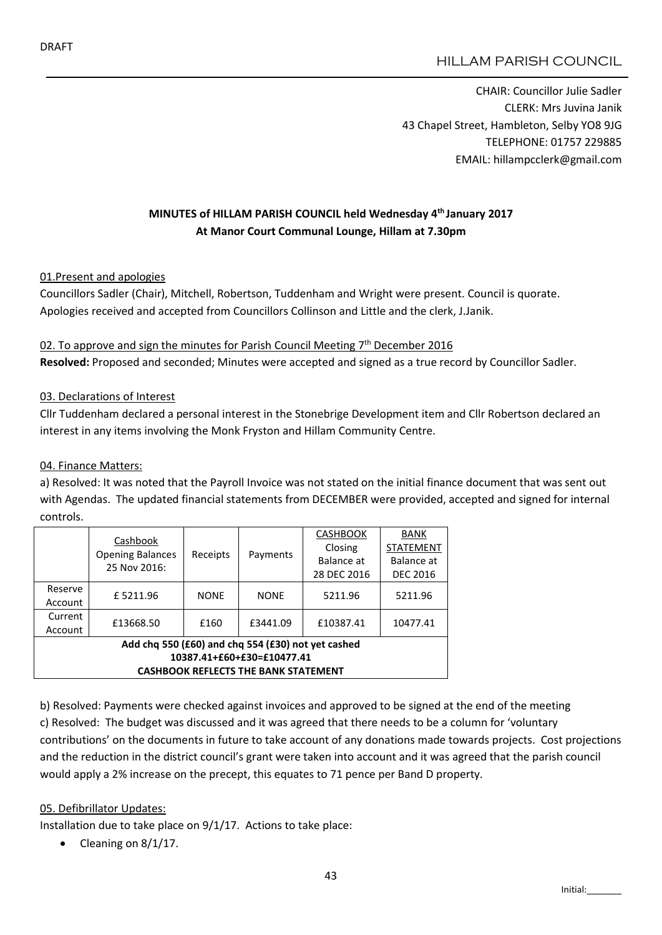# HILLAM PARISH COUNCIL

CHAIR: Councillor Julie Sadler CLERK: Mrs Juvina Janik 43 Chapel Street, Hambleton, Selby YO8 9JG TELEPHONE: 01757 229885 EMAIL: hillampcclerk@gmail.com

## MINUTES of HILLAM PARISH COUNCIL held Wednesday 4th January 2017 At Manor Court Communal Lounge, Hillam at 7.30pm

#### 01.Present and apologies

Councillors Sadler (Chair), Mitchell, Robertson, Tuddenham and Wright were present. Council is quorate. Apologies received and accepted from Councillors Collinson and Little and the clerk, J.Janik.

## 02. To approve and sign the minutes for Parish Council Meeting  $7<sup>th</sup>$  December 2016 Resolved: Proposed and seconded; Minutes were accepted and signed as a true record by Councillor Sadler.

#### 03. Declarations of Interest

Cllr Tuddenham declared a personal interest in the Stonebrige Development item and Cllr Robertson declared an interest in any items involving the Monk Fryston and Hillam Community Centre.

#### 04. Finance Matters:

a) Resolved: It was noted that the Payroll Invoice was not stated on the initial finance document that was sent out with Agendas. The updated financial statements from DECEMBER were provided, accepted and signed for internal controls.

|                                                    | Cashbook                                | Receipts    | Payments    | <b>CASHBOOK</b> | BANK             |
|----------------------------------------------------|-----------------------------------------|-------------|-------------|-----------------|------------------|
|                                                    | <b>Opening Balances</b><br>25 Nov 2016: |             |             | Closing         | <b>STATEMENT</b> |
|                                                    |                                         |             |             | Balance at      | Balance at       |
|                                                    |                                         |             |             | 28 DEC 2016     | <b>DEC 2016</b>  |
| Reserve                                            | £5211.96                                | <b>NONE</b> | <b>NONE</b> | 5211.96         | 5211.96          |
| Account                                            |                                         |             |             |                 |                  |
| Current                                            | £13668.50                               | £160        | £3441.09    | £10387.41       | 10477.41         |
| Account                                            |                                         |             |             |                 |                  |
| Add chq 550 (£60) and chq 554 (£30) not yet cashed |                                         |             |             |                 |                  |
| 10387.41+£60+£30=£10477.41                         |                                         |             |             |                 |                  |
| <b>CASHBOOK REFLECTS THE BANK STATEMENT</b>        |                                         |             |             |                 |                  |

b) Resolved: Payments were checked against invoices and approved to be signed at the end of the meeting c) Resolved: The budget was discussed and it was agreed that there needs to be a column for 'voluntary contributions' on the documents in future to take account of any donations made towards projects. Cost projections and the reduction in the district council's grant were taken into account and it was agreed that the parish council would apply a 2% increase on the precept, this equates to 71 pence per Band D property.

#### 05. Defibrillator Updates:

Installation due to take place on 9/1/17. Actions to take place:

Cleaning on 8/1/17.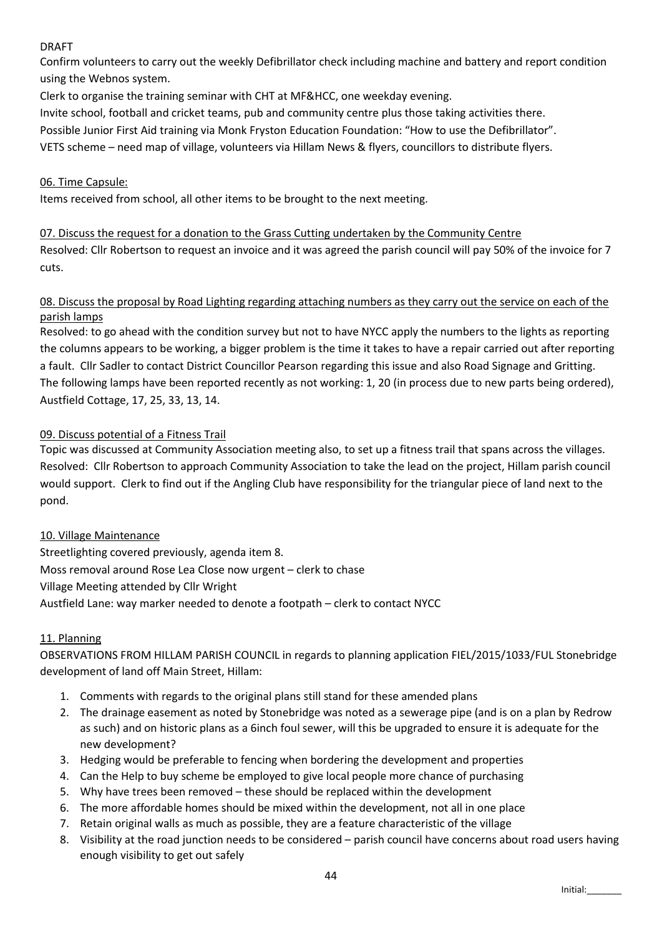## DRAFT

Confirm volunteers to carry out the weekly Defibrillator check including machine and battery and report condition using the Webnos system.

Clerk to organise the training seminar with CHT at MF&HCC, one weekday evening.

Invite school, football and cricket teams, pub and community centre plus those taking activities there.

Possible Junior First Aid training via Monk Fryston Education Foundation: "How to use the Defibrillator".

VETS scheme – need map of village, volunteers via Hillam News & flyers, councillors to distribute flyers.

### 06. Time Capsule:

Items received from school, all other items to be brought to the next meeting.

#### 07. Discuss the request for a donation to the Grass Cutting undertaken by the Community Centre

Resolved: Cllr Robertson to request an invoice and it was agreed the parish council will pay 50% of the invoice for 7 cuts.

### 08. Discuss the proposal by Road Lighting regarding attaching numbers as they carry out the service on each of the parish lamps

Resolved: to go ahead with the condition survey but not to have NYCC apply the numbers to the lights as reporting the columns appears to be working, a bigger problem is the time it takes to have a repair carried out after reporting a fault. Cllr Sadler to contact District Councillor Pearson regarding this issue and also Road Signage and Gritting. The following lamps have been reported recently as not working: 1, 20 (in process due to new parts being ordered), Austfield Cottage, 17, 25, 33, 13, 14.

## 09. Discuss potential of a Fitness Trail

Topic was discussed at Community Association meeting also, to set up a fitness trail that spans across the villages. Resolved: Cllr Robertson to approach Community Association to take the lead on the project, Hillam parish council would support. Clerk to find out if the Angling Club have responsibility for the triangular piece of land next to the pond.

#### 10. Village Maintenance

Streetlighting covered previously, agenda item 8. Moss removal around Rose Lea Close now urgent – clerk to chase Village Meeting attended by Cllr Wright Austfield Lane: way marker needed to denote a footpath – clerk to contact NYCC

#### 11. Planning

OBSERVATIONS FROM HILLAM PARISH COUNCIL in regards to planning application FIEL/2015/1033/FUL Stonebridge development of land off Main Street, Hillam:

- 1. Comments with regards to the original plans still stand for these amended plans
- 2. The drainage easement as noted by Stonebridge was noted as a sewerage pipe (and is on a plan by Redrow as such) and on historic plans as a 6inch foul sewer, will this be upgraded to ensure it is adequate for the new development?
- 3. Hedging would be preferable to fencing when bordering the development and properties
- 4. Can the Help to buy scheme be employed to give local people more chance of purchasing
- 5. Why have trees been removed these should be replaced within the development
- 6. The more affordable homes should be mixed within the development, not all in one place
- 7. Retain original walls as much as possible, they are a feature characteristic of the village
- 8. Visibility at the road junction needs to be considered parish council have concerns about road users having enough visibility to get out safely